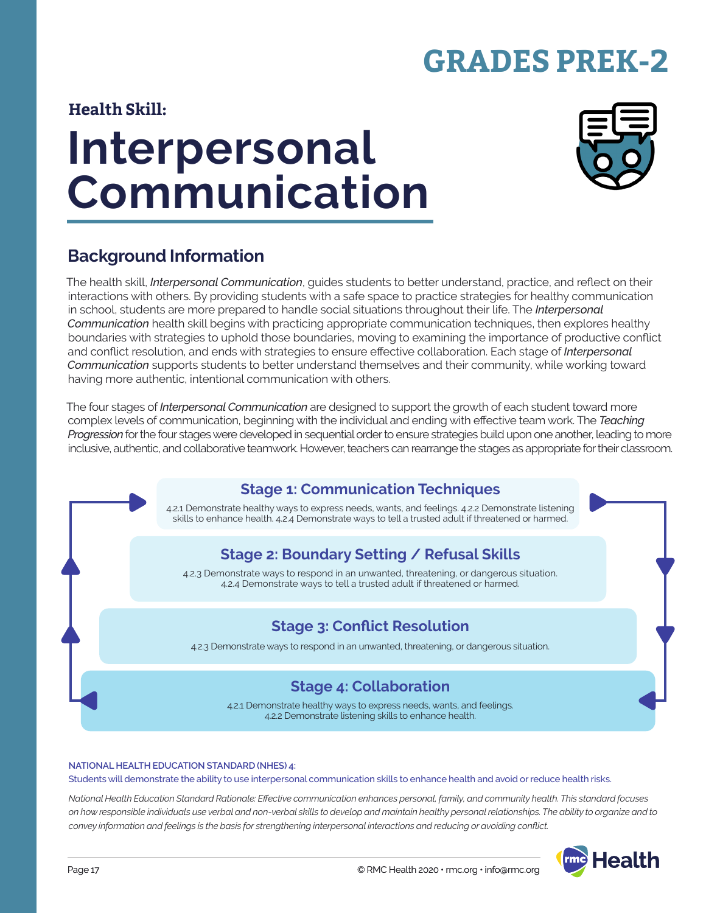# **GRADES PREK-2**

#### **Health Skill:**

# **Interpersonal Communication**



### **Background Information**

The health skill, *Interpersonal Communication*, guides students to better understand, practice, and reflect on their interactions with others. By providing students with a safe space to practice strategies for healthy communication in school, students are more prepared to handle social situations throughout their life. The *Interpersonal Communication* health skill begins with practicing appropriate communication techniques, then explores healthy boundaries with strategies to uphold those boundaries, moving to examining the importance of productive conflict and conflict resolution, and ends with strategies to ensure effective collaboration. Each stage of *Interpersonal Communication* supports students to better understand themselves and their community, while working toward having more authentic, intentional communication with others.

The four stages of *Interpersonal Communication* are designed to support the growth of each student toward more complex levels of communication, beginning with the individual and ending with effective team work. The *Teaching Progression* for the four stages were developed in sequential order to ensure strategies build upon one another, leading to more inclusive, authentic, and collaborative teamwork. However, teachers can rearrange the stages as appropriate for their classroom.

# **Stage 1: Communication Techniques**

4.2.1 Demonstrate healthy ways to express needs, wants, and feelings. 4.2.2 Demonstrate listening skills to enhance health. 4.2.4 Demonstrate ways to tell a trusted adult if threatened or harmed.

#### **Stage 2: Boundary Setting / Refusal Skills**

4.2.3 Demonstrate ways to respond in an unwanted, threatening, or dangerous situation. 4.2.4 Demonstrate ways to tell a trusted adult if threatened or harmed.

#### **Stage 3: Conflict Resolution**

4.2.3 Demonstrate ways to respond in an unwanted, threatening, or dangerous situation.

#### **Stage 4: Collaboration**

4.2.1 Demonstrate healthy ways to express needs, wants, and feelings. 4.2.2 Demonstrate listening skills to enhance health.

#### **NATIONAL HEALTH EDUCATION STANDARD (NHES) 4:**

Students will demonstrate the ability to use interpersonal communication skills to enhance health and avoid or reduce health risks.

*National Health Education Standard Rationale: Effective communication enhances personal, family, and community health. This standard focuses on how responsible individuals use verbal and non-verbal skills to develop and maintain healthy personal relationships. The ability to organize and to convey information and feelings is the basis for strengthening interpersonal interactions and reducing or avoiding conflict.*

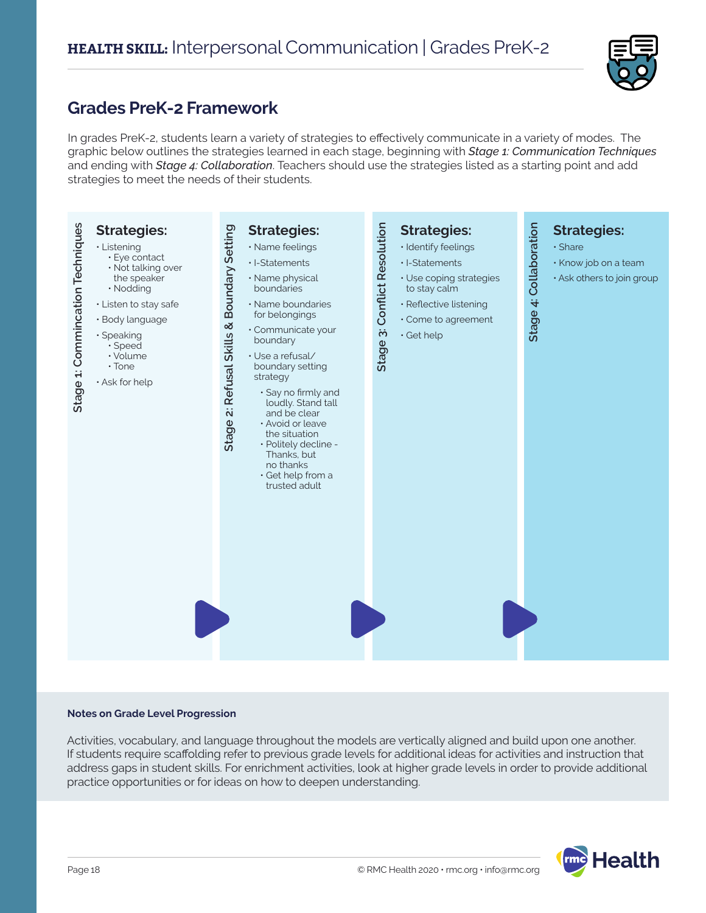

#### **Grades PreK-2 Framework**

In grades PreK-2, students learn a variety of strategies to effectively communicate in a variety of modes. The graphic below outlines the strategies learned in each stage, beginning with *Stage 1: Communication Techniques* and ending with *Stage 4: Collaboration*. Teachers should use the strategies listed as a starting point and add strategies to meet the needs of their students.



#### **Notes on Grade Level Progression**

Activities, vocabulary, and language throughout the models are vertically aligned and build upon one another. If students require scaffolding refer to previous grade levels for additional ideas for activities and instruction that address gaps in student skills. For enrichment activities, look at higher grade levels in order to provide additional practice opportunities or for ideas on how to deepen understanding.

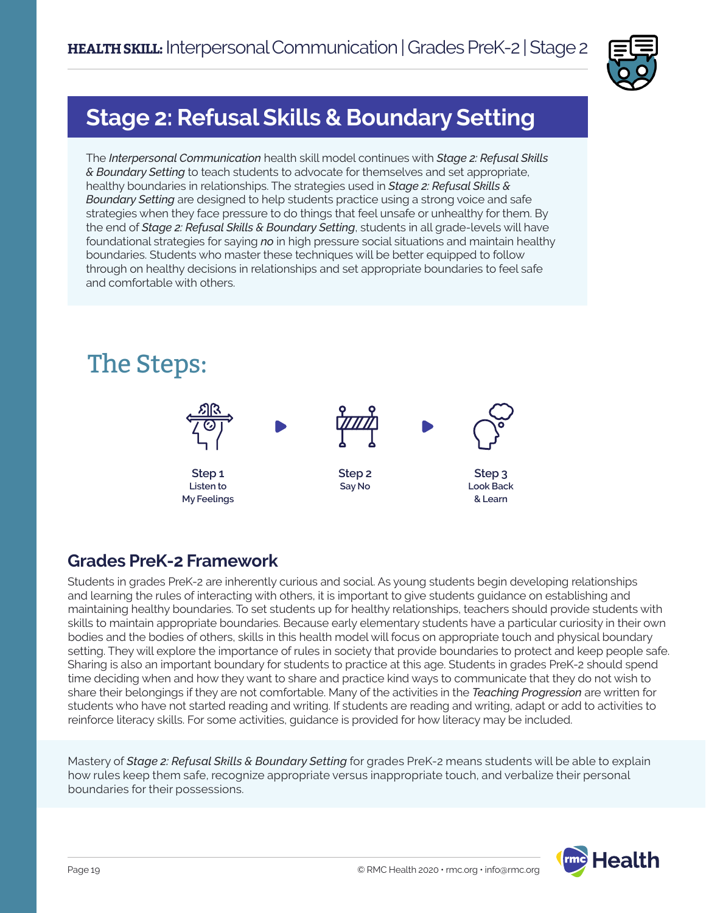

# **Stage 2: Refusal Skills & Boundary Setting**

The *Interpersonal Communication* health skill model continues with *Stage 2: Refusal Skills & Boundary Setting* to teach students to advocate for themselves and set appropriate, healthy boundaries in relationships. The strategies used in *Stage 2: Refusal Skills & Boundary Setting* are designed to help students practice using a strong voice and safe strategies when they face pressure to do things that feel unsafe or unhealthy for them. By the end of *Stage 2: Refusal Skills & Boundary Setting*, students in all grade-levels will have foundational strategies for saying *no* in high pressure social situations and maintain healthy boundaries. Students who master these techniques will be better equipped to follow through on healthy decisions in relationships and set appropriate boundaries to feel safe and comfortable with others.



#### **Grades PreK-2 Framework**

Students in grades PreK-2 are inherently curious and social. As young students begin developing relationships and learning the rules of interacting with others, it is important to give students guidance on establishing and maintaining healthy boundaries. To set students up for healthy relationships, teachers should provide students with skills to maintain appropriate boundaries. Because early elementary students have a particular curiosity in their own bodies and the bodies of others, skills in this health model will focus on appropriate touch and physical boundary setting. They will explore the importance of rules in society that provide boundaries to protect and keep people safe. Sharing is also an important boundary for students to practice at this age. Students in grades PreK-2 should spend time deciding when and how they want to share and practice kind ways to communicate that they do not wish to share their belongings if they are not comfortable. Many of the activities in the *Teaching Progression* are written for students who have not started reading and writing. If students are reading and writing, adapt or add to activities to reinforce literacy skills. For some activities, guidance is provided for how literacy may be included.

Mastery of *Stage 2: Refusal Skills & Boundary Setting* for grades PreK-2 means students will be able to explain how rules keep them safe, recognize appropriate versus inappropriate touch, and verbalize their personal boundaries for their possessions.

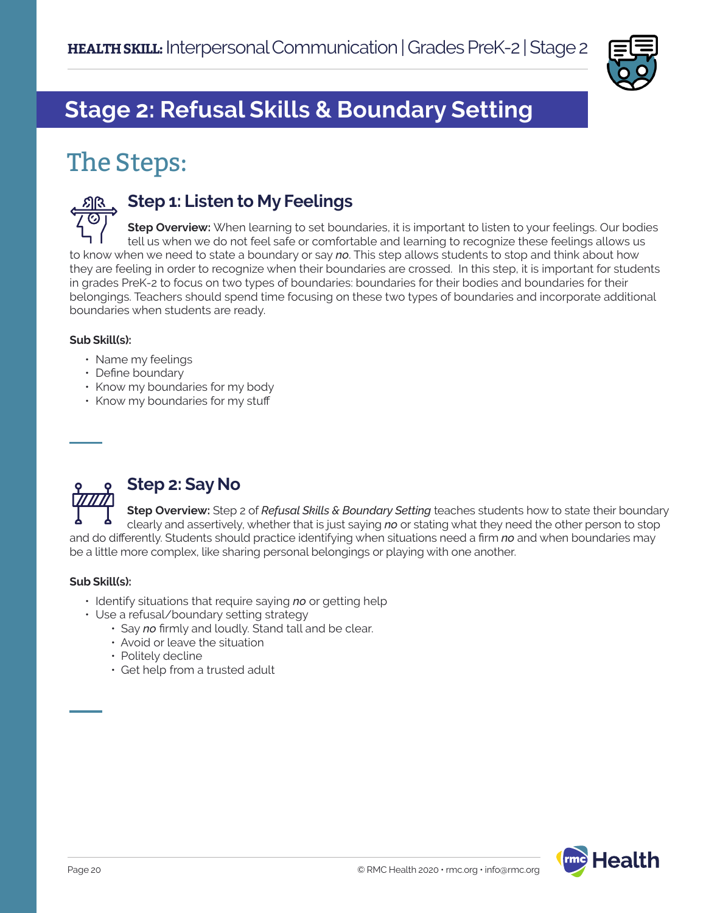

# **Stage 2: Refusal Skills & Boundary Setting**

# The Steps:



#### **Step 1: Listen to My Feelings**

**Step Overview:** When learning to set boundaries, it is important to listen to your feelings. Our bodies tell us when we do not feel safe or comfortable and learning to recognize these feelings allows us to know when we need to state a boundary or say *no*. This step allows students to stop and think about how they are feeling in order to recognize when their boundaries are crossed. In this step, it is important for students in grades PreK-2 to focus on two types of boundaries: boundaries for their bodies and boundaries for their belongings. Teachers should spend time focusing on these two types of boundaries and incorporate additional boundaries when students are ready.

#### **Sub Skill(s):**

- Name my feelings
- Define boundary
- Know my boundaries for my body
- Know my boundaries for my stuff



#### **Step 2: Say No**

**Step Overview:** Step 2 of *Refusal Skills & Boundary Setting* teaches students how to state their boundary clearly and assertively, whether that is just saying *no* or stating what they need the other person to stop and do differently. Students should practice identifying when situations need a firm *no* and when boundaries may be a little more complex, like sharing personal belongings or playing with one another.

#### **Sub Skill(s):**

- Identify situations that require saying *no* or getting help
- Use a refusal/boundary setting strategy
	- Say *no* firmly and loudly. Stand tall and be clear.
	- Avoid or leave the situation
	- Politely decline
	- Get help from a trusted adult